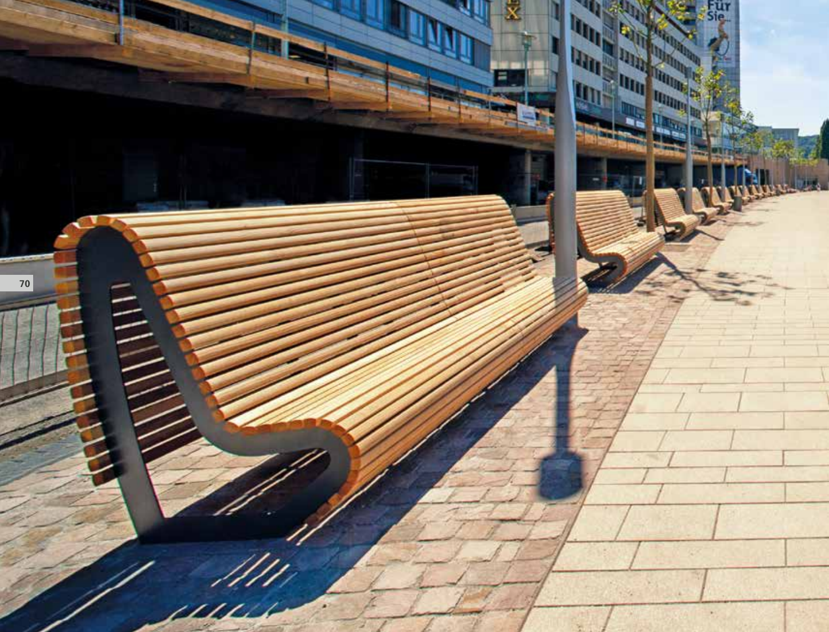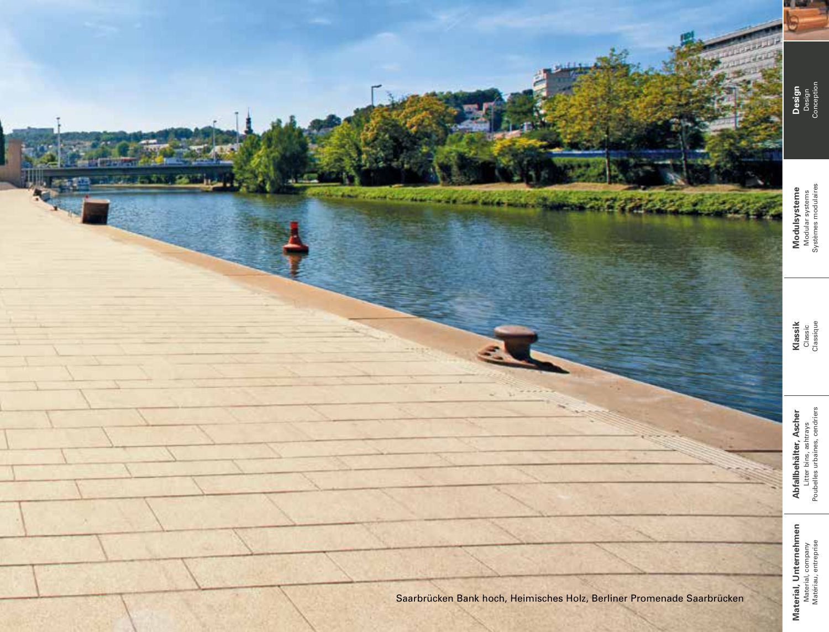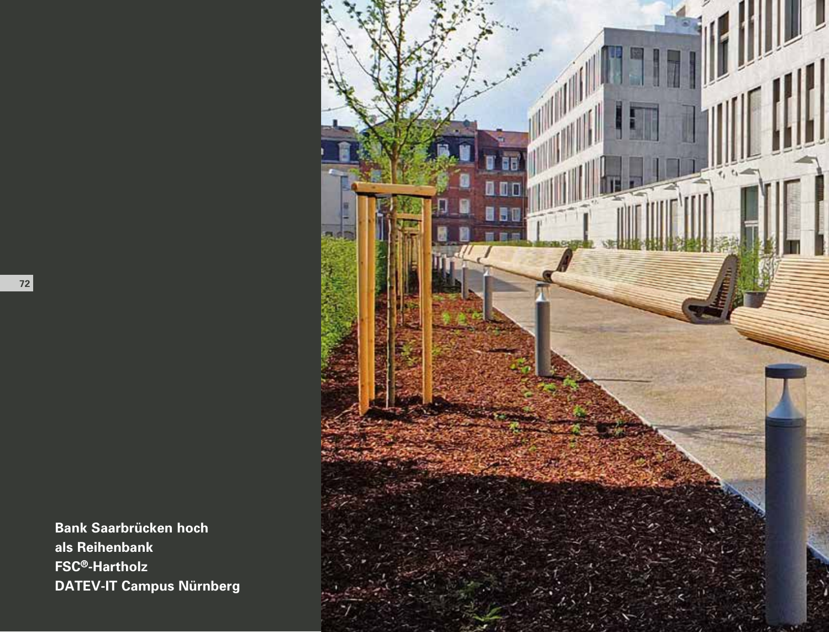

**Bank Saarbrücken hoch als Reihenbank FSC®-Hartholz DATEV-IT Campus Nürnberg**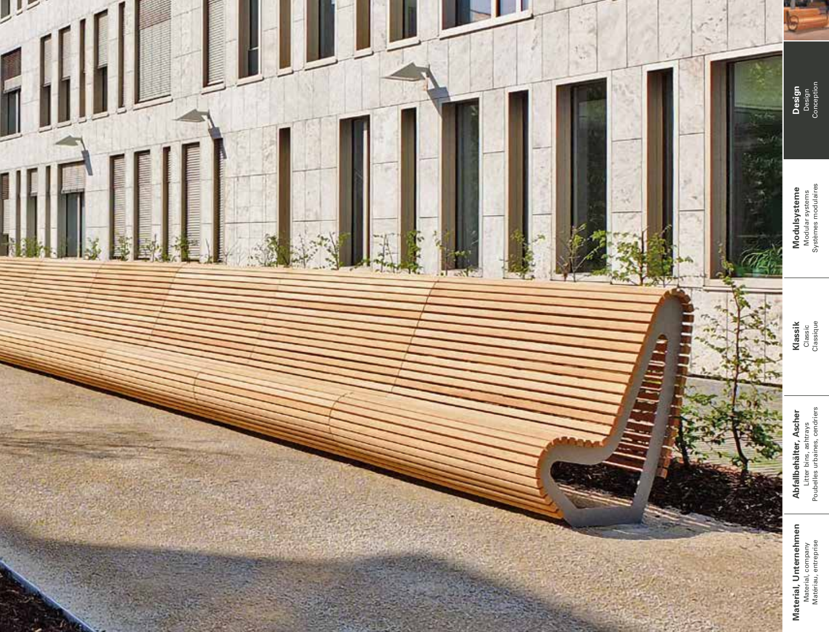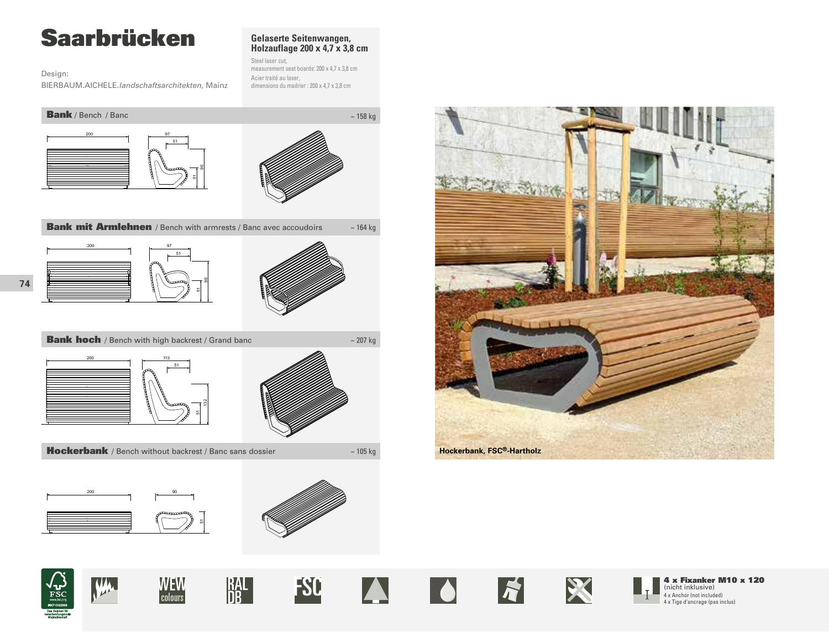## **Saarbrücken**

Design: BIERBAUM.AICHELE.*landschaftsarchitekten,* Mainz

## **Holzauflage 200 x 4,7 x 3,8 cm**

Steel laser cut, measurement seat boards: 200 x 4,7 x 3,8 cm Acier traité au laser, dimensions du madrier : 200 x 4,7 x 3,8 cm









**RAL**<br>DB

51



 $\blacktriangle$ 





4 x Fixanker M10 x 120 (nicht inklusive) 4 x Anchor (not included) 4 x Tige d'ancrage (pas inclus)